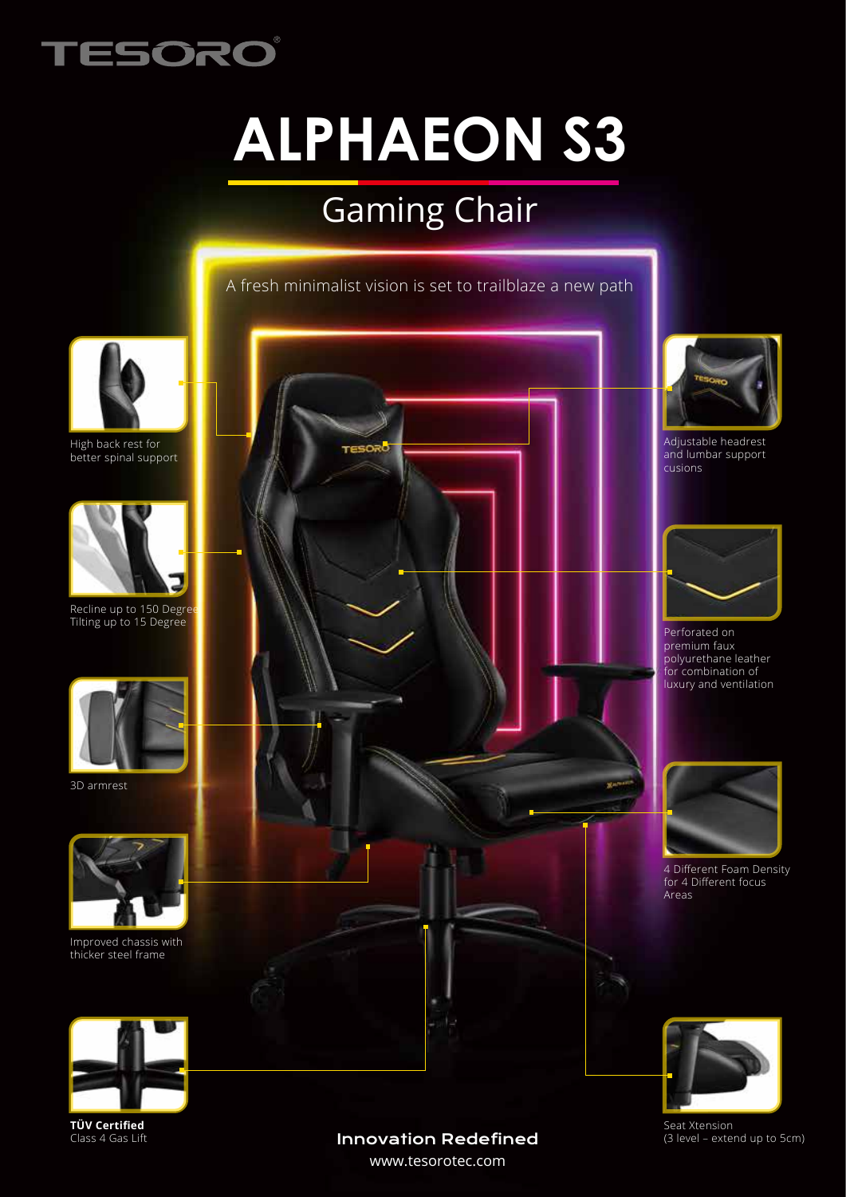

# **ALPHAEON S3**

# Gaming Chair

A fresh minimalist vision is set to trailblaze a new path



High back rest for better spinal support



Recline up to 150 Degree Tilting up to 15 Degree



3D armrest



Improved chassis with thicker steel frame



**TÜV Certified** Class 4 Gas Lift



#### Innovation Redefined

www.tesorotec.com



Adjustable headrest and lumbar support cusions



Perforated on premium faux polyurethane leather for combination of luxury and ventilation



4 Different Foam Density for 4 Different focus Areas



Seat Xtension (3 level – extend up to 5cm)